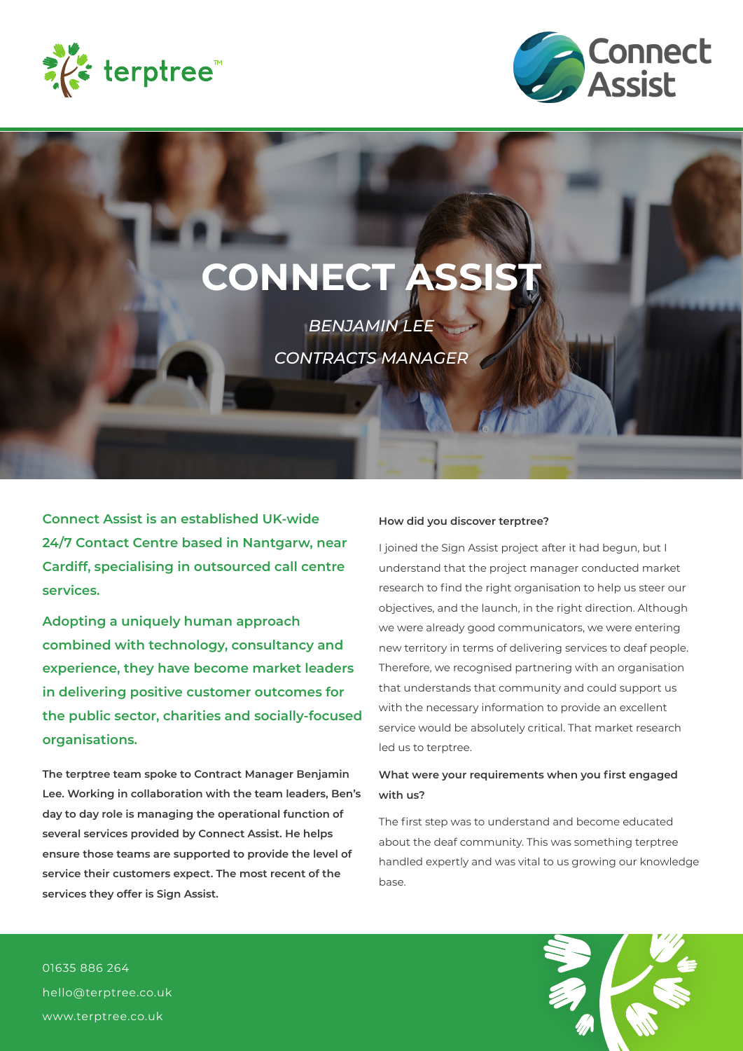



# **CONNECT ASSIS**

*BENJAMIN LEE CONTRACTS MANAGER*

**Connect Assist is an established UK-wide 24/7 Contact Centre based in Nantgarw, near Cardiff, specialising in outsourced call centre services.**

**Adopting a uniquely human approach combined with technology, consultancy and experience, they have become market leaders in delivering positive customer outcomes for the public sector, charities and socially-focused organisations.**

**The terptree team spoke to Contract Manager Benjamin Lee. Working in collaboration with the team leaders, Ben's day to day role is managing the operational function of several services provided by Connect Assist. He helps ensure those teams are supported to provide the level of service their customers expect. The most recent of the services they offer is Sign Assist.**

#### **How did you discover terptree?**

I joined the Sign Assist project after it had begun, but I understand that the project manager conducted market research to find the right organisation to help us steer our objectives, and the launch, in the right direction. Although we were already good communicators, we were entering new territory in terms of delivering services to deaf people. Therefore, we recognised partnering with an organisation that understands that community and could support us with the necessary information to provide an excellent service would be absolutely critical. That market research led us to terptree.

## **What were your requirements when you first engaged with us?**

The first step was to understand and become educated about the deaf community. This was something terptree handled expertly and was vital to us growing our knowledge base.

01635 886 264 hello@terptree.co.uk www.terptree.co.uk

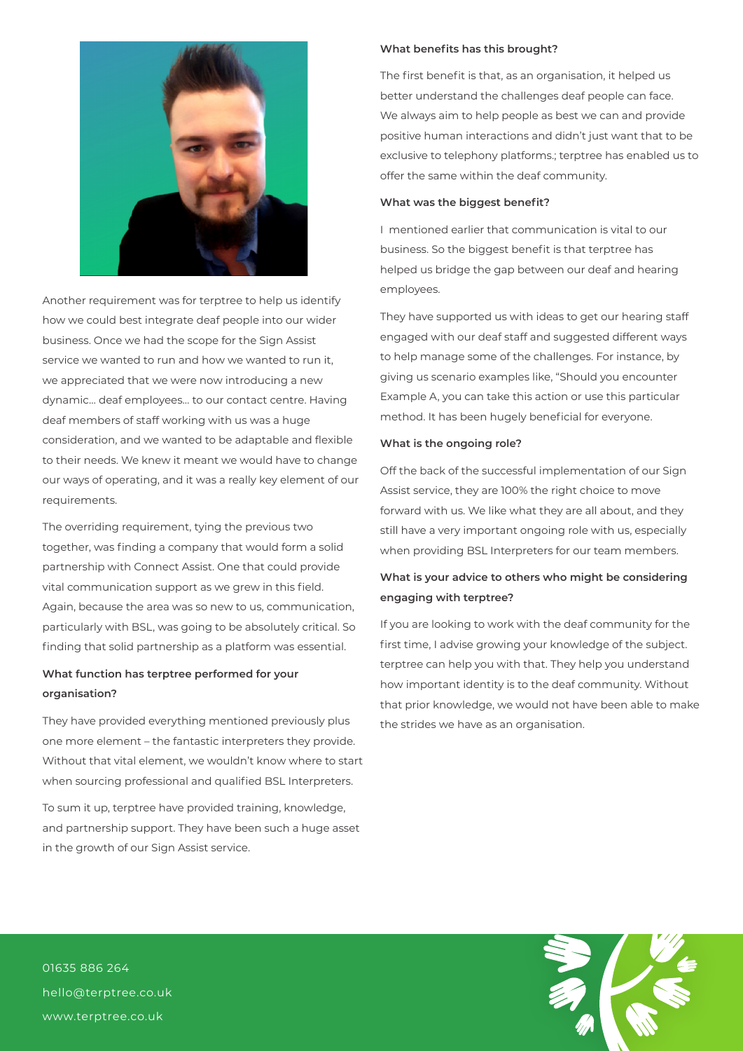

Another requirement was for terptree to help us identify how we could best integrate deaf people into our wider business. Once we had the scope for the Sign Assist service we wanted to run and how we wanted to run it, we appreciated that we were now introducing a new dynamic… deaf employees… to our contact centre. Having deaf members of staff working with us was a huge consideration, and we wanted to be adaptable and flexible to their needs. We knew it meant we would have to change our ways of operating, and it was a really key element of our requirements.

The overriding requirement, tying the previous two together, was finding a company that would form a solid partnership with Connect Assist. One that could provide vital communication support as we grew in this field. Again, because the area was so new to us, communication, particularly with BSL, was going to be absolutely critical. So finding that solid partnership as a platform was essential.

### **What function has terptree performed for your organisation?**

They have provided everything mentioned previously plus one more element – the fantastic interpreters they provide. Without that vital element, we wouldn't know where to start when sourcing professional and qualified BSL Interpreters.

To sum it up, terptree have provided training, knowledge, and partnership support. They have been such a huge asset in the growth of our Sign Assist service.

#### **What benefits has this brought?**

The first benefit is that, as an organisation, it helped us better understand the challenges deaf people can face. We always aim to help people as best we can and provide positive human interactions and didn't just want that to be exclusive to telephony platforms.; terptree has enabled us to offer the same within the deaf community.

#### **What was the biggest benefit?**

I mentioned earlier that communication is vital to our business. So the biggest benefit is that terptree has helped us bridge the gap between our deaf and hearing employees.

They have supported us with ideas to get our hearing staff engaged with our deaf staff and suggested different ways to help manage some of the challenges. For instance, by giving us scenario examples like, "Should you encounter Example A, you can take this action or use this particular method. It has been hugely beneficial for everyone.

#### **What is the ongoing role?**

Off the back of the successful implementation of our Sign Assist service, they are 100% the right choice to move forward with us. We like what they are all about, and they still have a very important ongoing role with us, especially when providing BSL Interpreters for our team members.

## **What is your advice to others who might be considering engaging with terptree?**

If you are looking to work with the deaf community for the first time, I advise growing your knowledge of the subject. terptree can help you with that. They help you understand how important identity is to the deaf community. Without that prior knowledge, we would not have been able to make the strides we have as an organisation.

01635 886 264 hello@terptree.co.uk www.terptree.co.uk